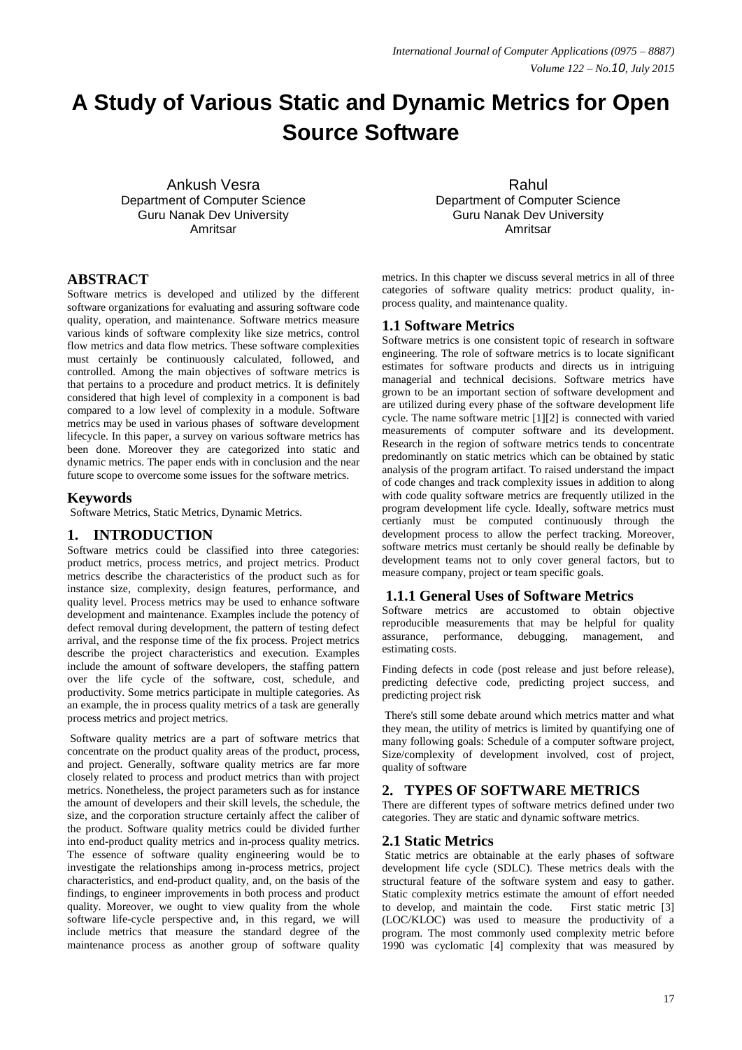# **A Study of Various Static and Dynamic Metrics for Open Source Software**

Ankush Vesra Department of Computer Science Guru Nanak Dev University Amritsar

# **ABSTRACT**

Software metrics is developed and utilized by the different software organizations for evaluating and assuring software code quality, operation, and maintenance. Software metrics measure various kinds of software complexity like size metrics, control flow metrics and data flow metrics. These software complexities must certainly be continuously calculated, followed, and controlled. Among the main objectives of software metrics is that pertains to a procedure and product metrics. It is definitely considered that high level of complexity in a component is bad compared to a low level of complexity in a module. Software metrics may be used in various phases of software development lifecycle. In this paper, a survey on various software metrics has been done. Moreover they are categorized into static and dynamic metrics. The paper ends with in conclusion and the near future scope to overcome some issues for the software metrics.

## **Keywords**

Software Metrics, Static Metrics, Dynamic Metrics.

# **1. INTRODUCTION**

Software metrics could be classified into three categories: product metrics, process metrics, and project metrics. Product metrics describe the characteristics of the product such as for instance size, complexity, design features, performance, and quality level. Process metrics may be used to enhance software development and maintenance. Examples include the potency of defect removal during development, the pattern of testing defect arrival, and the response time of the fix process. Project metrics describe the project characteristics and execution. Examples include the amount of software developers, the staffing pattern over the life cycle of the software, cost, schedule, and productivity. Some metrics participate in multiple categories. As an example, the in process quality metrics of a task are generally process metrics and project metrics.

Software quality metrics are a part of software metrics that concentrate on the product quality areas of the product, process, and project. Generally, software quality metrics are far more closely related to process and product metrics than with project metrics. Nonetheless, the project parameters such as for instance the amount of developers and their skill levels, the schedule, the size, and the corporation structure certainly affect the caliber of the product. Software quality metrics could be divided further into end-product quality metrics and in-process quality metrics. The essence of software quality engineering would be to investigate the relationships among in-process metrics, project characteristics, and end-product quality, and, on the basis of the findings, to engineer improvements in both process and product quality. Moreover, we ought to view quality from the whole software life-cycle perspective and, in this regard, we will include metrics that measure the standard degree of the maintenance process as another group of software quality

Rahul Department of Computer Science Guru Nanak Dev University **Amritear** 

metrics. In this chapter we discuss several metrics in all of three categories of software quality metrics: product quality, inprocess quality, and maintenance quality.

## **1.1 Software Metrics**

Software metrics is one consistent topic of research in software engineering. The role of software metrics is to locate significant estimates for software products and directs us in intriguing managerial and technical decisions. Software metrics have grown to be an important section of software development and are utilized during every phase of the software development life cycle. The name software metric [1][2] is connected with varied measurements of computer software and its development. Research in the region of software metrics tends to concentrate predominantly on static metrics which can be obtained by static analysis of the program artifact. To raised understand the impact of code changes and track complexity issues in addition to along with code quality software metrics are frequently utilized in the program development life cycle. Ideally, software metrics must certianly must be computed continuously through the development process to allow the perfect tracking. Moreover, software metrics must certanly be should really be definable by development teams not to only cover general factors, but to measure company, project or team specific goals.

#### **1.1.1 General Uses of Software Metrics**

Software metrics are accustomed to obtain objective reproducible measurements that may be helpful for quality assurance, performance, debugging, management, and estimating costs.

Finding defects in code (post release and just before release), predicting defective code, predicting project success, and predicting project risk

There's still some debate around which metrics matter and what they mean, the utility of metrics is limited by quantifying one of many following goals: Schedule of a computer software project, Size/complexity of development involved, cost of project, quality of software

#### **2. TYPES OF SOFTWARE METRICS**

There are different types of software metrics defined under two categories. They are static and dynamic software metrics.

#### **2.1 Static Metrics**

Static metrics are obtainable at the early phases of software development life cycle (SDLC). These metrics deals with the structural feature of the software system and easy to gather. Static complexity metrics estimate the amount of effort needed to develop, and maintain the code. First static metric [3] (LOC/KLOC) was used to measure the productivity of a program. The most commonly used complexity metric before 1990 was cyclomatic [4] complexity that was measured by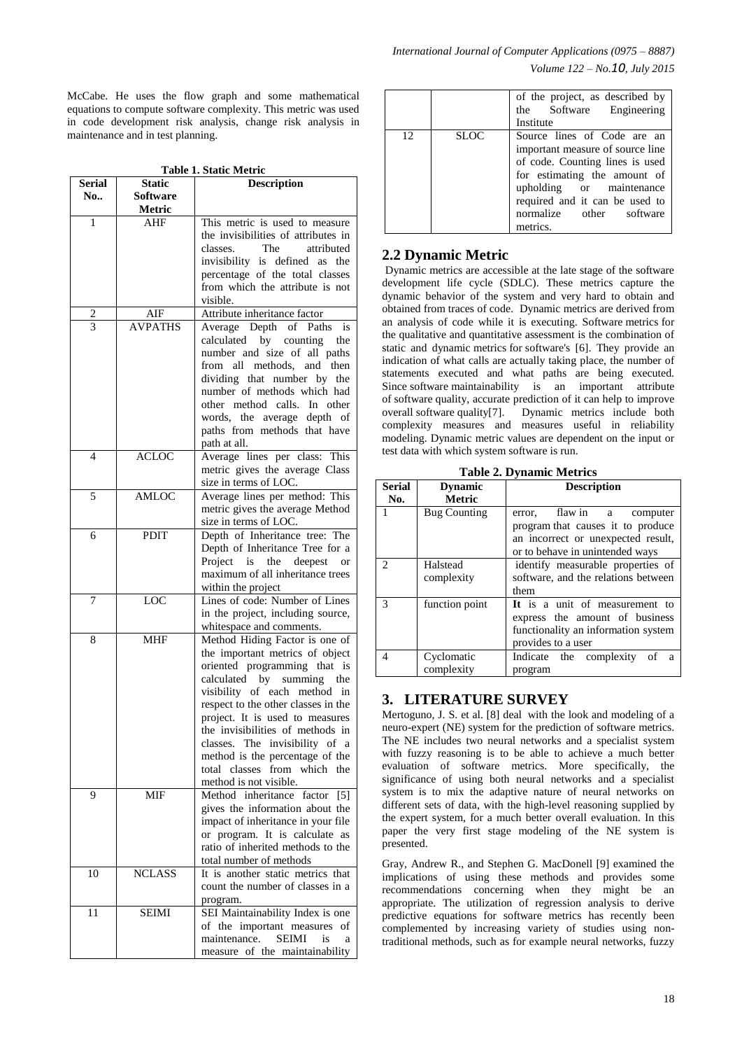McCabe. He uses the flow graph and some mathematical equations to compute software complexity. This metric was used in code development risk analysis, change risk analysis in maintenance and in test planning.

**Table 1. Static Metric**

| Serial | Static         | <b>Description</b>                                                     |
|--------|----------------|------------------------------------------------------------------------|
| No     | Software       |                                                                        |
|        | Metric         |                                                                        |
| 1      | AHF            | This metric is used to measure<br>the invisibilities of attributes in  |
|        |                | The<br>attributed<br>classes.                                          |
|        |                | invisibility is defined as<br>the                                      |
|        |                | percentage of the total classes                                        |
|        |                | from which the attribute is not                                        |
|        |                | visible.                                                               |
| 2      | AIF            | Attribute inheritance factor                                           |
| 3      | <b>AVPATHS</b> | Average Depth of Paths<br><i>is</i>                                    |
|        |                | calculated by counting<br>the                                          |
|        |                | number and size of all paths                                           |
|        |                | from all<br>methods, and then                                          |
|        |                | dividing that number by the                                            |
|        |                | number of methods which had<br>other method calls. In other            |
|        |                | words, the average depth of                                            |
|        |                | paths from methods that have                                           |
|        |                | path at all.                                                           |
| 4      | <b>ACLOC</b>   | Average lines per class: This                                          |
|        |                | metric gives the average Class                                         |
|        |                | size in terms of LOC.                                                  |
| 5      | <b>AMLOC</b>   | Average lines per method: This                                         |
|        |                | metric gives the average Method                                        |
|        |                | size in terms of LOC.                                                  |
| 6      | <b>PDIT</b>    | Depth of Inheritance tree: The                                         |
|        |                | Depth of Inheritance Tree for a                                        |
|        |                | Project is the deepest<br>or<br>maximum of all inheritance trees       |
|        |                | within the project                                                     |
| 7      | LOC            | Lines of code: Number of Lines                                         |
|        |                | in the project, including source,                                      |
|        |                | whitespace and comments.                                               |
| 8      | MHF            | Method Hiding Factor is one of                                         |
|        |                | the important metrics of object                                        |
|        |                | oriented programming that is                                           |
|        |                | calculated by<br>summing<br>the                                        |
|        |                | visibility of each method in                                           |
|        |                | respect to the other classes in the<br>project. It is used to measures |
|        |                | the invisibilities of methods in                                       |
|        |                | classes. The invisibility of a                                         |
|        |                | method is the percentage of the                                        |
|        |                | from which<br>total<br>classes<br>the                                  |
|        |                | method is not visible.                                                 |
| 9      | MIF            | Method inheritance factor<br>[5]                                       |
|        |                | gives the information about the                                        |
|        |                | impact of inheritance in your file                                     |
|        |                | or program. It is calculate as<br>ratio of inherited methods to the    |
|        |                | total number of methods                                                |
| 10     | <b>NCLASS</b>  | It is another static metrics that                                      |
|        |                | count the number of classes in a                                       |
|        |                | program.                                                               |
| 11     | SEIMI          | SEI Maintainability Index is one                                       |
|        |                | of the important measures<br>οf                                        |
|        |                | maintenance.<br><b>SEIMI</b><br>is<br>a                                |
|        |                | measure of the maintainability                                         |

|    |             | of the project, as described by<br>the Software Engineering<br>Institute                                                                                                                                                                 |
|----|-------------|------------------------------------------------------------------------------------------------------------------------------------------------------------------------------------------------------------------------------------------|
| 12 | <b>SLOC</b> | Source lines of Code are an<br>important measure of source line<br>of code. Counting lines is used<br>for estimating the amount of<br>upholding or maintenance<br>required and it can be used to<br>normalize other software<br>metrics. |

## **2.2 Dynamic Metric**

Dynamic metrics are accessible at the late stage of the software development life cycle (SDLC). These metrics capture the dynamic behavior of the system and very hard to obtain and obtained from traces of code. Dynamic metrics are derived from an analysis of code while it is executing. Software metrics for the qualitative and quantitative assessment is the combination of static and dynamic metrics for software's [6]. They provide an indication of what calls are actually taking place, the number of statements executed and what paths are being executed. Since software maintainability is an important attribute of software quality, accurate prediction of it can help to improve overall software quality[7]. Dynamic metrics include both complexity measures and measures useful in reliability modeling. Dynamic metric values are dependent on the input or test data with which system software is run.

**Table 2. Dynamic Metrics**

| <b>Serial</b><br>No. | <b>Dynamic</b><br><b>Metric</b> | <b>Description</b>                                                                                                                         |
|----------------------|---------------------------------|--------------------------------------------------------------------------------------------------------------------------------------------|
|                      | <b>Bug Counting</b>             | flaw in a computer<br>error.<br>program that causes it to produce<br>an incorrect or unexpected result,<br>or to behave in unintended ways |
|                      | Halstead<br>complexity          | identify measurable properties of<br>software, and the relations between<br>them                                                           |
| 3                    | function point                  | It is a unit of measurement to<br>express the amount of business<br>functionality an information system<br>provides to a user              |
| 4                    | Cyclomatic<br>complexity        | Indicate the complexity of a<br>program                                                                                                    |

# **3. LITERATURE SURVEY**

Mertoguno, J. S. et al. [8] deal with the look and modeling of a neuro-expert (NE) system for the prediction of software metrics. The NE includes two neural networks and a specialist system with fuzzy reasoning is to be able to achieve a much better evaluation of software metrics. More specifically, the significance of using both neural networks and a specialist system is to mix the adaptive nature of neural networks on different sets of data, with the high-level reasoning supplied by the expert system, for a much better overall evaluation. In this paper the very first stage modeling of the NE system is presented.

Gray, Andrew R., and Stephen G. MacDonell [9] examined the implications of using these methods and provides some recommendations concerning when they might be an appropriate. The utilization of regression analysis to derive predictive equations for software metrics has recently been complemented by increasing variety of studies using nontraditional methods, such as for example neural networks, fuzzy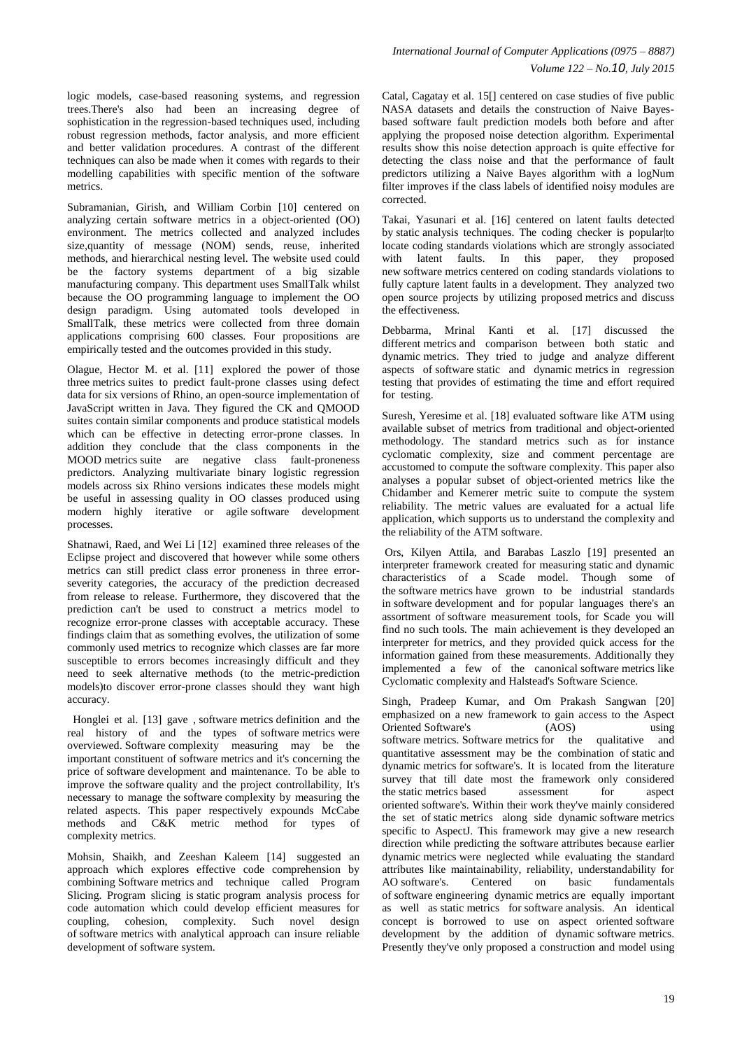logic models, case-based reasoning systems, and regression trees.There's also had been an increasing degree of sophistication in the regression-based techniques used, including robust regression methods, factor analysis, and more efficient and better validation procedures. A contrast of the different techniques can also be made when it comes with regards to their modelling capabilities with specific mention of the software metrics.

Subramanian, Girish, and William Corbin [10] centered on analyzing certain software metrics in a object-oriented (OO) environment. The metrics collected and analyzed includes size,quantity of message (NOM) sends, reuse, inherited methods, and hierarchical nesting level. The website used could be the factory systems department of a big sizable manufacturing company. This department uses SmallTalk whilst because the OO programming language to implement the OO design paradigm. Using automated tools developed in SmallTalk, these metrics were collected from three domain applications comprising 600 classes. Four propositions are empirically tested and the outcomes provided in this study.

Olague, Hector M. et al. [11] explored the power of those three metrics suites to predict fault-prone classes using defect data for six versions of Rhino, an open-source implementation of JavaScript written in Java. They figured the CK and QMOOD suites contain similar components and produce statistical models which can be effective in detecting error-prone classes. In addition they conclude that the class components in the MOOD metrics suite are negative class fault-proneness predictors. Analyzing multivariate binary logistic regression models across six Rhino versions indicates these models might be useful in assessing quality in OO classes produced using modern highly iterative or agile software development processes.

Shatnawi, Raed, and Wei Li [12] examined three releases of the Eclipse project and discovered that however while some others metrics can still predict class error proneness in three errorseverity categories, the accuracy of the prediction decreased from release to release. Furthermore, they discovered that the prediction can't be used to construct a metrics model to recognize error-prone classes with acceptable accuracy. These findings claim that as something evolves, the utilization of some commonly used metrics to recognize which classes are far more susceptible to errors becomes increasingly difficult and they need to seek alternative methods (to the metric-prediction models)to discover error-prone classes should they want high accuracy.

Honglei et al. [13] gave , software metrics definition and the real history of and the types of software metrics were overviewed. Software complexity measuring may be the important constituent of software metrics and it's concerning the price of software development and maintenance. To be able to improve the software quality and the project controllability, It's necessary to manage the software complexity by measuring the related aspects. This paper respectively expounds McCabe methods and C&K metric method for types of complexity metrics.

Mohsin, Shaikh, and Zeeshan Kaleem [14] suggested an approach which explores effective code comprehension by combining Software metrics and technique called Program Slicing. Program slicing is static program analysis process for code automation which could develop efficient measures for coupling, cohesion, complexity. Such novel design of software metrics with analytical approach can insure reliable development of software system.

Catal, Cagatay et al. 15[] centered on case studies of five public NASA datasets and details the construction of Naive Bayesbased software fault prediction models both before and after applying the proposed noise detection algorithm. Experimental results show this noise detection approach is quite effective for detecting the class noise and that the performance of fault predictors utilizing a Naive Bayes algorithm with a logNum filter improves if the class labels of identified noisy modules are corrected.

Takai, Yasunari et al. [16] centered on latent faults detected by static analysis techniques. The coding checker is popular|to locate coding standards violations which are strongly associated with latent faults. In this paper, they proposed new software metrics centered on coding standards violations to fully capture latent faults in a development. They analyzed two open source projects by utilizing proposed metrics and discuss the effectiveness.

Debbarma, Mrinal Kanti et al. [17] discussed the different metrics and comparison between both static and dynamic metrics. They tried to judge and analyze different aspects of software static and dynamic metrics in regression testing that provides of estimating the time and effort required for testing.

Suresh, Yeresime et al. [18] evaluated software like ATM using available subset of metrics from traditional and object-oriented methodology. The standard metrics such as for instance cyclomatic complexity, size and comment percentage are accustomed to compute the software complexity. This paper also analyses a popular subset of object-oriented metrics like the Chidamber and Kemerer metric suite to compute the system reliability. The metric values are evaluated for a actual life application, which supports us to understand the complexity and the reliability of the ATM software.

Ors, Kilyen Attila, and Barabas Laszlo [19] presented an interpreter framework created for measuring static and dynamic characteristics of a Scade model. Though some of the software metrics have grown to be industrial standards in software development and for popular languages there's an assortment of software measurement tools, for Scade you will find no such tools. The main achievement is they developed an interpreter for metrics, and they provided quick access for the information gained from these measurements. Additionally they implemented a few of the canonical software metrics like Cyclomatic complexity and Halstead's Software Science.

Singh, Pradeep Kumar, and Om Prakash Sangwan [20] emphasized on a new framework to gain access to the Aspect Oriented Software's (AOS) using software metrics. Software metrics for the qualitative and quantitative assessment may be the combination of static and dynamic metrics for software's. It is located from the literature survey that till date most the framework only considered the static metrics based assessment for aspect oriented software's. Within their work they've mainly considered the set of static metrics along side dynamic software metrics specific to AspectJ. This framework may give a new research direction while predicting the software attributes because earlier dynamic metrics were neglected while evaluating the standard attributes like maintainability, reliability, understandability for AO software's. Centered on basic fundamentals of software engineering dynamic metrics are equally important as well as static metrics for software analysis. An identical concept is borrowed to use on aspect oriented software development by the addition of dynamic software metrics. Presently they've only proposed a construction and model using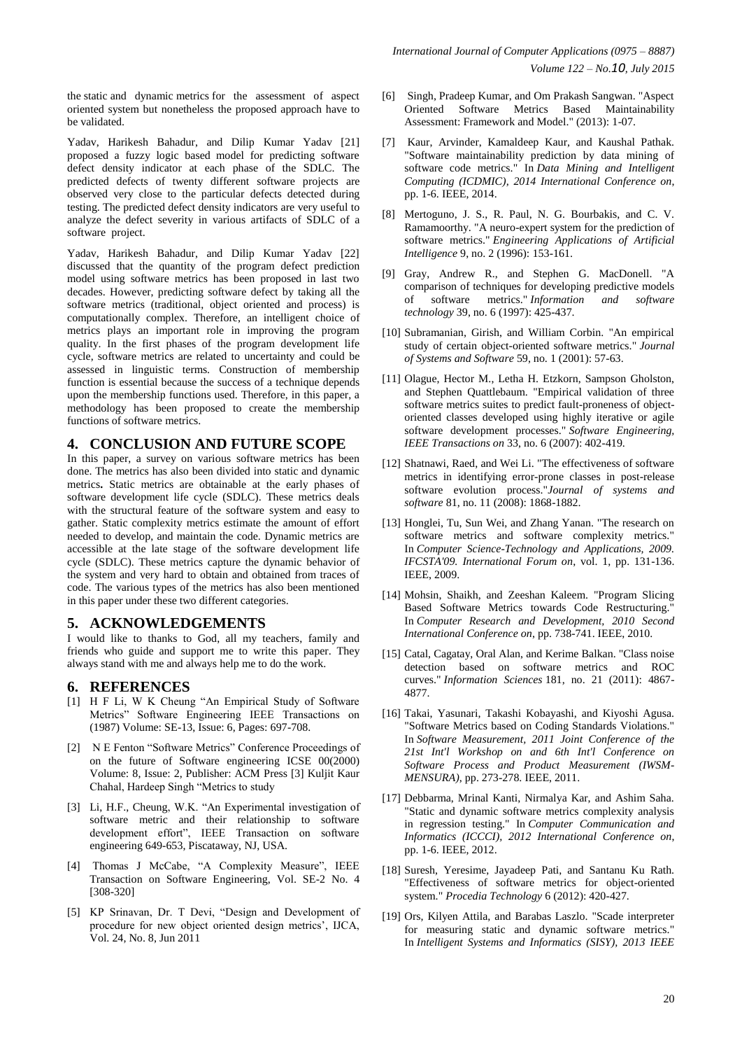the static and dynamic metrics for the assessment of aspect oriented system but nonetheless the proposed approach have to be validated.

Yadav, Harikesh Bahadur, and Dilip Kumar Yadav [21] proposed a fuzzy logic based model for predicting software defect density indicator at each phase of the SDLC. The predicted defects of twenty different software projects are observed very close to the particular defects detected during testing. The predicted defect density indicators are very useful to analyze the defect severity in various artifacts of SDLC of a software project.

Yadav, Harikesh Bahadur, and Dilip Kumar Yadav [22] discussed that the quantity of the program defect prediction model using software metrics has been proposed in last two decades. However, predicting software defect by taking all the software metrics (traditional, object oriented and process) is computationally complex. Therefore, an intelligent choice of metrics plays an important role in improving the program quality. In the first phases of the program development life cycle, software metrics are related to uncertainty and could be assessed in linguistic terms. Construction of membership function is essential because the success of a technique depends upon the membership functions used. Therefore, in this paper, a methodology has been proposed to create the membership functions of software metrics.

## **4. CONCLUSION AND FUTURE SCOPE**

In this paper, a survey on various software metrics has been done. The metrics has also been divided into static and dynamic metrics**.** Static metrics are obtainable at the early phases of software development life cycle (SDLC). These metrics deals with the structural feature of the software system and easy to gather. Static complexity metrics estimate the amount of effort needed to develop, and maintain the code. Dynamic metrics are accessible at the late stage of the software development life cycle (SDLC). These metrics capture the dynamic behavior of the system and very hard to obtain and obtained from traces of code. The various types of the metrics has also been mentioned in this paper under these two different categories.

# **5. ACKNOWLEDGEMENTS**

I would like to thanks to God, all my teachers, family and friends who guide and support me to write this paper. They always stand with me and always help me to do the work.

# **6. REFERENCES**

- [1] H F Li, W K Cheung "An Empirical Study of Software Metrics" Software Engineering IEEE Transactions on (1987) Volume: SE-13, Issue: 6, Pages: 697-708.
- [2] N E Fenton "Software Metrics" Conference Proceedings of on the future of Software engineering ICSE 00(2000) Volume: 8, Issue: 2, Publisher: ACM Press [3] Kuljit Kaur Chahal, Hardeep Singh "Metrics to study
- [3] Li, H.F., Cheung, W.K. "An Experimental investigation of software metric and their relationship to software development effort", IEEE Transaction on software engineering 649-653, Piscataway, NJ, USA.
- [4] Thomas J McCabe, "A Complexity Measure", IEEE Transaction on Software Engineering, Vol. SE-2 No. 4 [308-320]
- [5] KP Srinavan, Dr. T Devi, "Design and Development of procedure for new object oriented design metrics', IJCA, Vol. 24, No. 8, Jun 2011
- [6] Singh, Pradeep Kumar, and Om Prakash Sangwan. "Aspect Oriented Software Metrics Based Maintainability Assessment: Framework and Model." (2013): 1-07.
- [7] Kaur, Arvinder, Kamaldeep Kaur, and Kaushal Pathak. "Software maintainability prediction by data mining of software code metrics." In *Data Mining and Intelligent Computing (ICDMIC), 2014 International Conference on*, pp. 1-6. IEEE, 2014.
- [8] Mertoguno, J. S., R. Paul, N. G. Bourbakis, and C. V. Ramamoorthy. "A neuro-expert system for the prediction of software metrics." *Engineering Applications of Artificial Intelligence* 9, no. 2 (1996): 153-161.
- [9] Gray, Andrew R., and Stephen G. MacDonell. "A comparison of techniques for developing predictive models of software metrics." *Information and software technology* 39, no. 6 (1997): 425-437.
- [10] Subramanian, Girish, and William Corbin. "An empirical study of certain object-oriented software metrics." *Journal of Systems and Software* 59, no. 1 (2001): 57-63.
- [11] Olague, Hector M., Letha H. Etzkorn, Sampson Gholston, and Stephen Quattlebaum. "Empirical validation of three software metrics suites to predict fault-proneness of objectoriented classes developed using highly iterative or agile software development processes." *Software Engineering, IEEE Transactions on* 33, no. 6 (2007): 402-419.
- [12] Shatnawi, Raed, and Wei Li. "The effectiveness of software metrics in identifying error-prone classes in post-release software evolution process."*Journal of systems and software* 81, no. 11 (2008): 1868-1882.
- [13] Honglei, Tu, Sun Wei, and Zhang Yanan. "The research on software metrics and software complexity metrics." In *Computer Science-Technology and Applications, 2009. IFCSTA'09. International Forum on*, vol. 1, pp. 131-136. IEEE, 2009.
- [14] Mohsin, Shaikh, and Zeeshan Kaleem. "Program Slicing Based Software Metrics towards Code Restructuring." In *Computer Research and Development, 2010 Second International Conference on*, pp. 738-741. IEEE, 2010.
- [15] Catal, Cagatay, Oral Alan, and Kerime Balkan. "Class noise detection based on software metrics and ROC curves." *Information Sciences* 181, no. 21 (2011): 4867- 4877.
- [16] Takai, Yasunari, Takashi Kobayashi, and Kiyoshi Agusa. "Software Metrics based on Coding Standards Violations." In *Software Measurement, 2011 Joint Conference of the 21st Int'l Workshop on and 6th Int'l Conference on Software Process and Product Measurement (IWSM-MENSURA)*, pp. 273-278. IEEE, 2011.
- [17] Debbarma, Mrinal Kanti, Nirmalya Kar, and Ashim Saha. "Static and dynamic software metrics complexity analysis in regression testing." In *Computer Communication and Informatics (ICCCI), 2012 International Conference on*, pp. 1-6. IEEE, 2012.
- [18] Suresh, Yeresime, Jayadeep Pati, and Santanu Ku Rath. "Effectiveness of software metrics for object-oriented system." *Procedia Technology* 6 (2012): 420-427.
- [19] Ors, Kilyen Attila, and Barabas Laszlo. "Scade interpreter for measuring static and dynamic software metrics." In *Intelligent Systems and Informatics (SISY), 2013 IEEE*